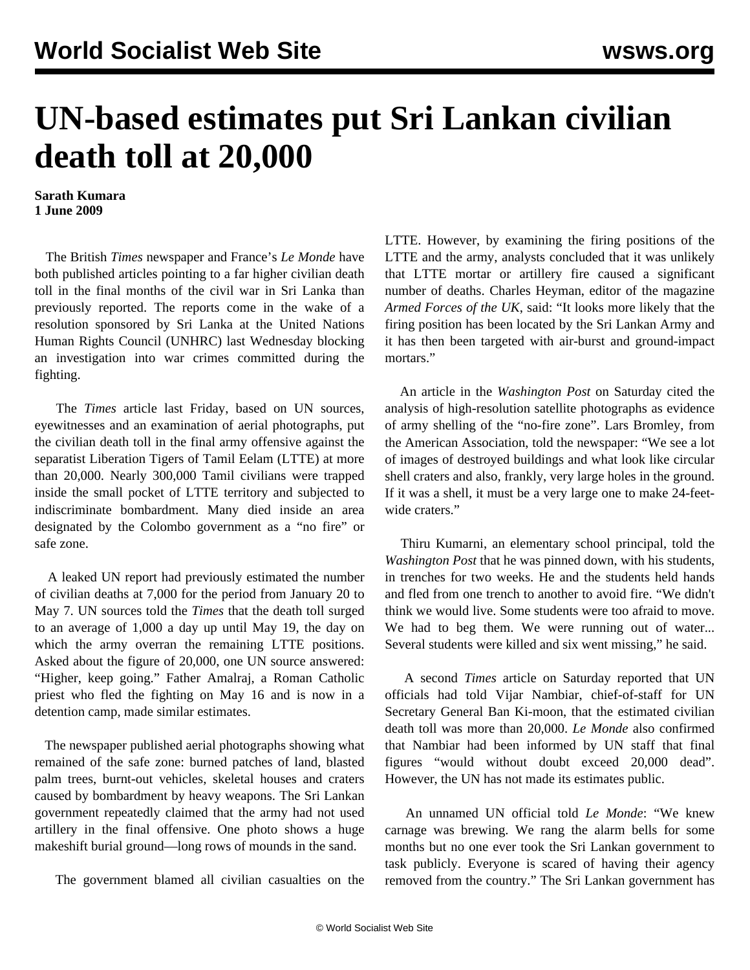## **UN-based estimates put Sri Lankan civilian death toll at 20,000**

**Sarath Kumara 1 June 2009**

 The British *Times* newspaper and France's *Le Monde* have both published articles pointing to a far higher civilian death toll in the final months of the civil war in Sri Lanka than previously reported. The reports come in the wake of a resolution sponsored by Sri Lanka at the United Nations Human Rights Council (UNHRC) last Wednesday blocking an investigation into war crimes committed during the fighting.

 The *Times* article last Friday, based on UN sources, eyewitnesses and an examination of aerial photographs, put the civilian death toll in the final army offensive against the separatist Liberation Tigers of Tamil Eelam (LTTE) at more than 20,000. Nearly 300,000 Tamil civilians were trapped inside the small pocket of LTTE territory and subjected to indiscriminate bombardment. Many died inside an area designated by the Colombo government as a "no fire" or safe zone.

 A leaked UN report had previously estimated the number of civilian deaths at 7,000 for the period from January 20 to May 7. UN sources told the *Times* that the death toll surged to an average of 1,000 a day up until May 19, the day on which the army overran the remaining LTTE positions. Asked about the figure of 20,000, one UN source answered: "Higher, keep going." Father Amalraj, a Roman Catholic priest who fled the fighting on May 16 and is now in a detention camp, made similar estimates.

 The newspaper published aerial photographs showing what remained of the safe zone: burned patches of land, blasted palm trees, burnt-out vehicles, skeletal houses and craters caused by bombardment by heavy weapons. The Sri Lankan government repeatedly claimed that the army had not used artillery in the final offensive. One photo shows a huge makeshift burial ground—long rows of mounds in the sand.

The government blamed all civilian casualties on the

LTTE. However, by examining the firing positions of the LTTE and the army, analysts concluded that it was unlikely that LTTE mortar or artillery fire caused a significant number of deaths. Charles Heyman, editor of the magazine *Armed Forces of the UK*, said: "It looks more likely that the firing position has been located by the Sri Lankan Army and it has then been targeted with air-burst and ground-impact mortars."

 An article in the *Washington Post* on Saturday cited the analysis of high-resolution satellite photographs as evidence of army shelling of the "no-fire zone". Lars Bromley, from the American Association, told the newspaper: "We see a lot of images of destroyed buildings and what look like circular shell craters and also, frankly, very large holes in the ground. If it was a shell, it must be a very large one to make 24-feetwide craters."

 Thiru Kumarni, an elementary school principal, told the *Washington Post* that he was pinned down, with his students, in trenches for two weeks. He and the students held hands and fled from one trench to another to avoid fire. "We didn't think we would live. Some students were too afraid to move. We had to beg them. We were running out of water... Several students were killed and six went missing," he said.

 A second *Times* article on Saturday reported that UN officials had told Vijar Nambiar, chief-of-staff for UN Secretary General Ban Ki-moon, that the estimated civilian death toll was more than 20,000. *Le Monde* also confirmed that Nambiar had been informed by UN staff that final figures "would without doubt exceed 20,000 dead". However, the UN has not made its estimates public.

 An unnamed UN official told *Le Monde*: "We knew carnage was brewing. We rang the alarm bells for some months but no one ever took the Sri Lankan government to task publicly. Everyone is scared of having their agency removed from the country." The Sri Lankan government has